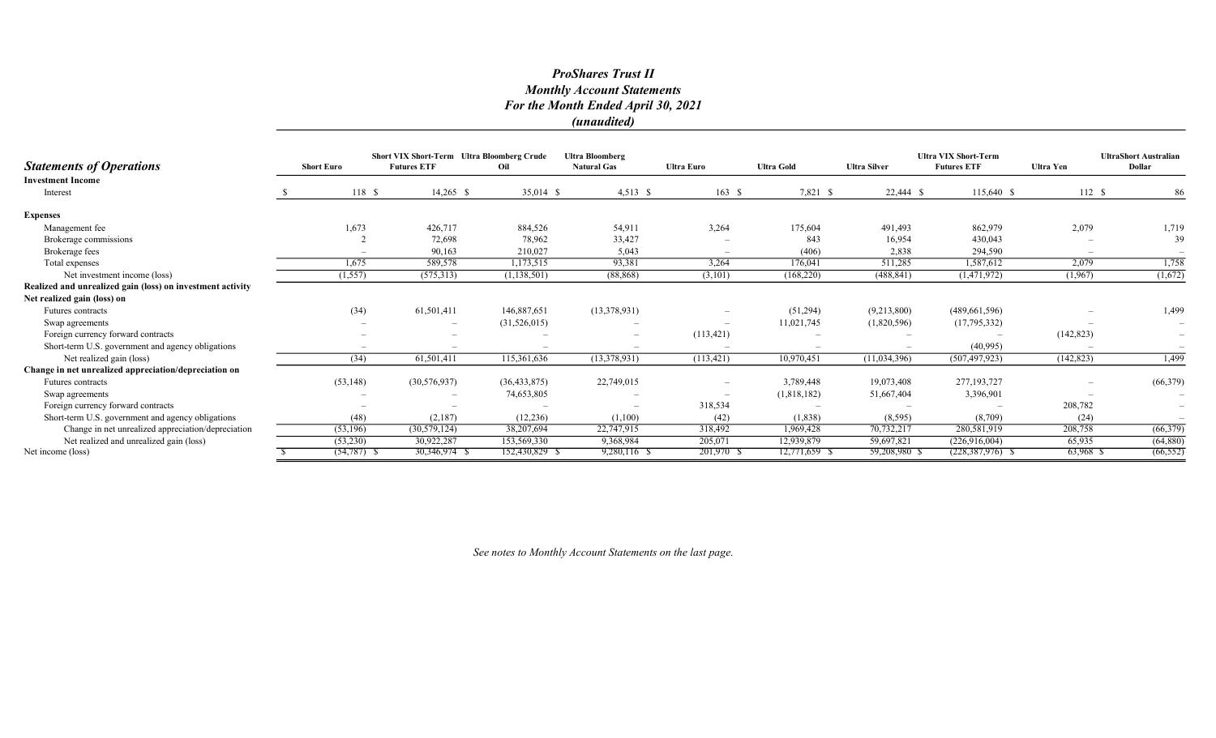# ProShares Trust II Monthly Account Statements For the Month Ended April 30, 2021 (unaudited)

|                                                            |                   |                | <b>Short VIX Short-Term</b> Ultra Bloomberg Crude |                | <b>Ultra Bloomberg</b>   |                   |                   |                     | <b>Ultra VIX Short-Term</b> |                  | <b>UltraShort Australian</b> |
|------------------------------------------------------------|-------------------|----------------|---------------------------------------------------|----------------|--------------------------|-------------------|-------------------|---------------------|-----------------------------|------------------|------------------------------|
| <b>Statements of Operations</b>                            | <b>Short Euro</b> |                | <b>Futures ETF</b>                                | Oil            | <b>Natural Gas</b>       | <b>Ultra Euro</b> | <b>Ultra Gold</b> | <b>Ultra Silver</b> | <b>Futures ETF</b>          | <b>Ultra Yen</b> | Dollar                       |
| <b>Investment Income</b><br>Interest                       |                   | 118S           | $14,265$ \$                                       | $35,014$ \$    | $4,513$ \$               | 163S              | 7,821 \$          | 22,444 \$           | $115,640$ \$                | 112S             | 86                           |
| <b>Expenses</b>                                            |                   |                |                                                   |                |                          |                   |                   |                     |                             |                  |                              |
| Management fee                                             |                   | 1,673          | 426,717                                           | 884,526        | 54,911                   | 3,264             | 175,604           | 491,493             | 862,979                     | 2,079            | 1,719                        |
| Brokerage commissions                                      |                   |                | 72,698                                            | 78,962         | 33,427                   |                   | 843               | 16,954              | 430,043                     |                  | 39                           |
| Brokerage fees                                             |                   |                | 90,163                                            | 210,027        | 5,043                    |                   | (406)             | 2,838               | 294,590                     |                  |                              |
| Total expenses                                             |                   | 1,675          | 589,578                                           | 1,173,515      | 93,381                   | 3,264             | 176,041           | 511,285             | 1,587,612                   | 2,079            | 1,758                        |
| Net investment income (loss)                               |                   | (1, 557)       | (575, 313)                                        | (1, 138, 501)  | (88, 868)                | (3, 101)          | (168, 220)        | (488, 841)          | (1,471,972)                 | (1,967)          | (1,672)                      |
| Realized and unrealized gain (loss) on investment activity |                   |                |                                                   |                |                          |                   |                   |                     |                             |                  |                              |
| Net realized gain (loss) on                                |                   |                |                                                   |                |                          |                   |                   |                     |                             |                  |                              |
| Futures contracts                                          |                   | (34)           | 61,501,411                                        | 146,887,651    | (13,378,931)             | $\qquad \qquad -$ | (51,294)          | (9,213,800)         | (489, 661, 596)             |                  | 1,499                        |
| Swap agreements                                            |                   |                | $\overline{\phantom{a}}$                          | (31,526,015)   |                          |                   | 11,021,745        | (1,820,596)         | (17,795,332)                |                  |                              |
| Foreign currency forward contracts                         |                   |                | $\overline{\phantom{a}}$                          |                |                          | (113, 421)        |                   |                     |                             | (142, 823)       |                              |
| Short-term U.S. government and agency obligations          |                   |                |                                                   |                |                          |                   |                   |                     | (40,995)                    |                  |                              |
| Net realized gain (loss)                                   |                   | (34)           | 61,501,411                                        | 115,361,636    | (13,378,931)             | (113, 421)        | 10,970,451        | (11,034,396)        | (507, 497, 923)             | (142, 823)       | 1,499                        |
| Change in net unrealized appreciation/depreciation on      |                   |                |                                                   |                |                          |                   |                   |                     |                             |                  |                              |
| Futures contracts                                          |                   | (53, 148)      | (30, 576, 937)                                    | (36, 433, 875) | 22,749,015               |                   | 3,789,448         | 19,073,408          | 277, 193, 727               |                  | (66, 379)                    |
| Swap agreements                                            |                   |                |                                                   | 74,653,805     |                          |                   | (1,818,182)       | 51,667,404          | 3,396,901                   |                  |                              |
| Foreign currency forward contracts                         |                   |                |                                                   |                | $\overline{\phantom{a}}$ | 318,534           |                   |                     |                             | 208,782          | $\overline{\phantom{m}}$     |
| Short-term U.S. government and agency obligations          |                   | (48)           | (2,187)                                           | (12, 236)      | (1,100)                  | (42)              | (1,838)           | (8, 595)            | (8,709)                     | (24)             |                              |
| Change in net unrealized appreciation/depreciation         |                   | (53,196)       | (30, 579, 124)                                    | 38,207,694     | 22,747,915               | 318,492           | 1,969,428         | 70,732,217          | 280,581,919                 | 208,758          | (66, 379)                    |
| Net realized and unrealized gain (loss)                    |                   | (53,230)       | 30,922,287                                        | 153,569,330    | 9,368,984                | 205,071           | 12,939,879        | 59,697,821          | (226,916,004)               | 65,935           | (64, 880)                    |
| Net income (loss)                                          |                   | $(54, 787)$ \$ | 30,346,974 \$                                     | 152,430,829 \$ | 9,280,116 \$             | 201,970 \$        | 12,771,659        | 59,208,980 \$       | $(228, 387, 976)$ \$        | 63,968 \$        | (66, 552)                    |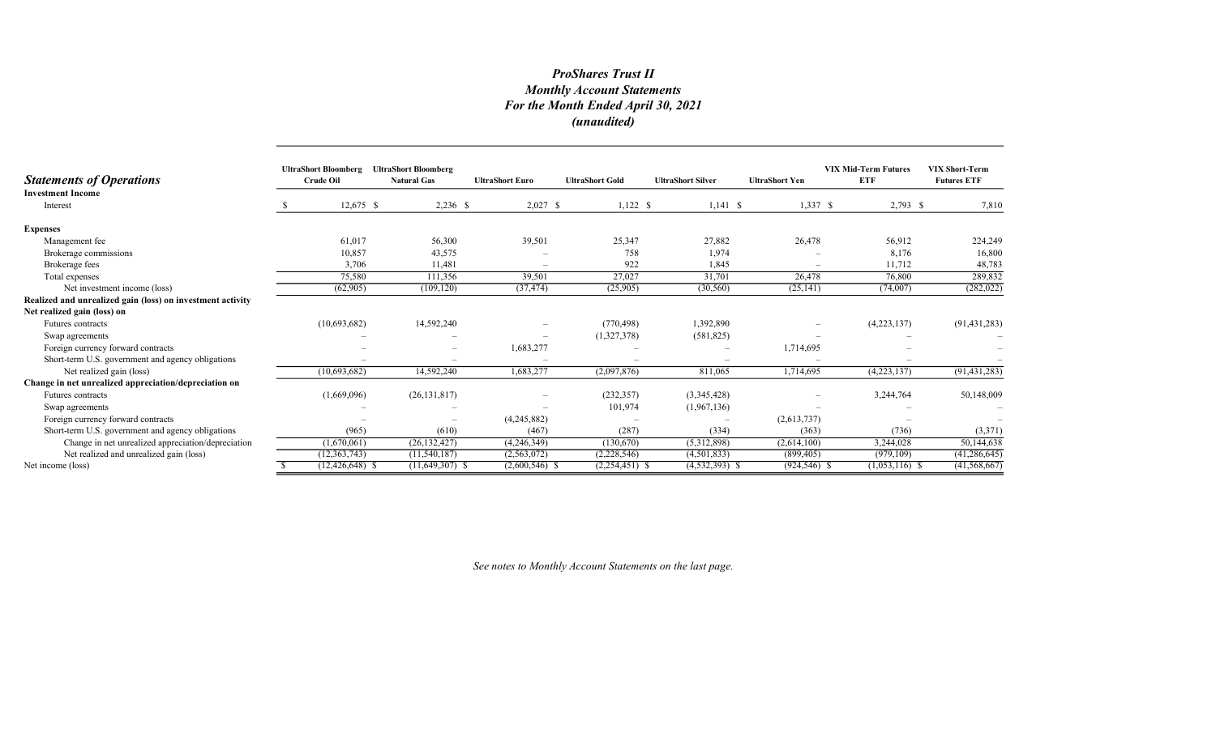# ProShares Trust II Monthly Account Statements For the Month Ended April 30, 2021 (unaudited)

| <b>Statements of Operations</b>                            | <b>UltraShort Bloomberg</b><br><b>Crude Oil</b> |                     | <b>UltraShort Bloomberg</b><br><b>Natural Gas</b> | <b>UltraShort Euro</b>   | <b>UltraShort Gold</b> | <b>UltraShort Silver</b> | <b>UltraShort Yen</b> | <b>VIX Mid-Term Futures</b><br><b>ETF</b> | <b>VIX Short-Term</b><br><b>Futures ETF</b> |
|------------------------------------------------------------|-------------------------------------------------|---------------------|---------------------------------------------------|--------------------------|------------------------|--------------------------|-----------------------|-------------------------------------------|---------------------------------------------|
| <b>Investment Income</b><br>Interest                       |                                                 | $12,675$ \$         | $2,236$ \$                                        | $2,027$ \$               | $1,122$ \$             | $1,141$ \$               | $1,337$ \$            | $2,793$ \$                                | 7,810                                       |
| <b>Expenses</b>                                            |                                                 |                     |                                                   |                          |                        |                          |                       |                                           |                                             |
| Management fee                                             |                                                 | 61,017              | 56,300                                            | 39,501                   | 25,347                 | 27,882                   | 26,478                | 56,912                                    | 224,249                                     |
| Brokerage commissions                                      |                                                 | 10,857              | 43,575                                            |                          | 758                    | 1,974                    |                       | 8,176                                     | 16,800                                      |
| Brokerage fees                                             |                                                 | 3,706               | 11,481                                            | $\overline{\phantom{a}}$ | 922                    | 1,845                    | $\sim$                | 11,712                                    | 48,783                                      |
| Total expenses                                             |                                                 | 75,580              | 111,356                                           | 39,501                   | 27,027                 | 31,701                   | 26,478                | 76,800                                    | 289,832                                     |
| Net investment income (loss)                               |                                                 | (62,905)            | (109, 120)                                        | (37, 474)                | (25,905)               | (30, 560)                | (25, 141)             | (74,007)                                  | (282, 022)                                  |
| Realized and unrealized gain (loss) on investment activity |                                                 |                     |                                                   |                          |                        |                          |                       |                                           |                                             |
| Net realized gain (loss) on                                |                                                 |                     |                                                   |                          |                        |                          |                       |                                           |                                             |
| Futures contracts                                          |                                                 | (10,693,682)        | 14,592,240                                        |                          | (770, 498)             | 1,392,890                |                       | (4,223,137)                               | (91, 431, 283)                              |
| Swap agreements                                            |                                                 |                     |                                                   | $\overline{\phantom{a}}$ | (1,327,378)            | (581, 825)               |                       |                                           |                                             |
| Foreign currency forward contracts                         |                                                 |                     |                                                   | 1,683,277                |                        |                          | 1,714,695             |                                           |                                             |
| Short-term U.S. government and agency obligations          |                                                 |                     |                                                   |                          |                        |                          |                       |                                           |                                             |
| Net realized gain (loss)                                   |                                                 | (10,693,682)        | 14,592,240                                        | 1,683,277                | (2,097,876)            | 811,065                  | 1,714,695             | (4,223,137)                               | (91, 431, 283)                              |
| Change in net unrealized appreciation/depreciation on      |                                                 |                     |                                                   |                          |                        |                          |                       |                                           |                                             |
| Futures contracts                                          |                                                 | (1,669,096)         | (26, 131, 817)                                    |                          | (232, 357)             | (3,345,428)              |                       | 3,244,764                                 | 50,148,009                                  |
| Swap agreements                                            |                                                 |                     |                                                   |                          | 101,974                | (1,967,136)              |                       |                                           |                                             |
| Foreign currency forward contracts                         |                                                 |                     |                                                   | (4,245,882)              |                        |                          | (2,613,737)           |                                           |                                             |
| Short-term U.S. government and agency obligations          |                                                 | (965)               | (610)                                             | (467)                    | (287)                  | (334)                    | (363)                 | (736)                                     | (3,371)                                     |
| Change in net unrealized appreciation/depreciation         |                                                 | (1,670,061)         | (26, 132, 427)                                    | (4,246,349)              | (130,670)              | (5,312,898)              | (2,614,100)           | 3,244,028                                 | 50,144,638                                  |
| Net realized and unrealized gain (loss)                    |                                                 | (12, 363, 743)      | (11, 540, 187)                                    | (2,563,072)              | (2,228,546)            | (4,501,833)              | (899, 405)            | (979, 109)                                | (41, 286, 645)                              |
| Net income (loss)                                          |                                                 | $(12, 426, 648)$ \$ | $(11,649,307)$ \$                                 | $(2,600,546)$ \$         | $(2,254,451)$ \$       | $(4, 532, 393)$ \$       | $(924, 546)$ \$       | $(1,053,116)$ \$                          | (41, 568, 667)                              |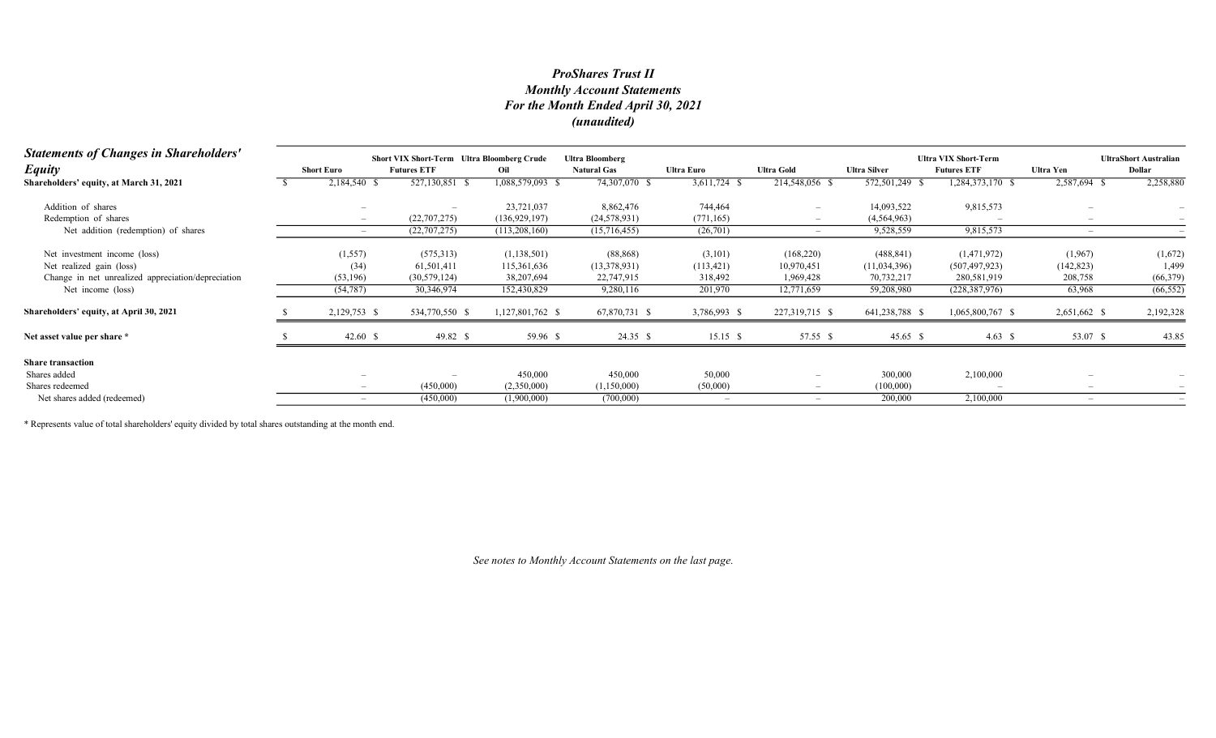# Monthly Account Statements For the Month Ended April 30, 2021 (unaudited) ProShares Trust II

| <b>Statements of Changes in Shareholders'</b>      |                          | <b>Short VIX Short-Term Ultra Bloomberg Crude</b> |                  | <b>Ultra Bloomberg</b> |                          |                   |                     | <b>Ultra VIX Short-Term</b> | <b>UltraShort Australian</b> |           |
|----------------------------------------------------|--------------------------|---------------------------------------------------|------------------|------------------------|--------------------------|-------------------|---------------------|-----------------------------|------------------------------|-----------|
| <b>Equity</b>                                      | <b>Short Euro</b>        | <b>Futures ETF</b>                                | Oil              | <b>Natural Gas</b>     | Ultra Euro               | <b>Ultra Gold</b> | <b>Ultra Silver</b> | <b>Futures ETF</b>          | Ultra Yen                    | Dollar    |
| Shareholders' equity, at March 31, 2021            | 2,184,540 \$             | 527,130,851 \$                                    | 1,088,579,093 \$ | 74,307,070 \$          | 3,611,724 \$             | 214,548,056 \$    | 572,501,249 \$      | 1,284,373,170 \$            | 2,587,694 \$                 | 2,258,880 |
| Addition of shares                                 |                          |                                                   | 23,721,037       | 8,862,476              | 744,464                  |                   | 14,093,522          | 9,815,573                   |                              |           |
| Redemption of shares                               | $-$                      | (22,707,275)                                      | (136, 929, 197)  | (24, 578, 931)         | (771, 165)               |                   | (4,564,963)         |                             |                              |           |
| Net addition (redemption) of shares                |                          | (22,707,275)                                      | (113,208,160)    | (15,716,455)           | (26,701)                 |                   | 9,528,559           | 9,815,573                   |                              |           |
| Net investment income (loss)                       | (1, 557)                 | (575,313)                                         | (1,138,501)      | (88, 868)              | (3,101)                  | (168,220)         | (488, 841)          | (1,471,972)                 | (1,967)                      | (1,672)   |
| Net realized gain (loss)                           | (34)                     | 61,501,411                                        | 115,361,636      | (13,378,931)           | (113, 421)               | 10,970,451        | (11,034,396)        | (507, 497, 923)             | (142, 823)                   | 1,499     |
| Change in net unrealized appreciation/depreciation | (53, 196)                | (30, 579, 124)                                    | 38,207,694       | 22,747,915             | 318,492                  | 1,969,428         | 70,732,217          | 280,581,919                 | 208,758                      | (66, 379) |
| Net income (loss)                                  | (54, 787)                | 30,346,974                                        | 152,430,829      | 9,280,116              | 201,970                  | 12,771,659        | 59,208,980          | (228, 387, 976)             | 63,968                       | (66, 552) |
| Shareholders' equity, at April 30, 2021            | 2,129,753 \$             | 534,770,550 \$                                    | 1,127,801,762 \$ | 67,870,731 \$          | 3,786,993 \$             | 227,319,715 \$    | 641,238,788 \$      | 1,065,800,767 \$            | 2,651,662 \$                 | 2,192,328 |
| Net asset value per share *                        | 42.60 $\sqrt{ }$         | 49.82 \$                                          | 59.96 \$         | 24.35 \$               | $15.15$ \$               | 57.55 \$          | 45.65 \$            | 4.63 \$                     | 53.07 \$                     | 43.85     |
| <b>Share transaction</b>                           |                          |                                                   |                  |                        |                          |                   |                     |                             |                              |           |
| Shares added                                       |                          |                                                   | 450,000          | 450,000                | 50,000                   |                   | 300,000             | 2,100,000                   |                              |           |
| Shares redeemed                                    |                          | (450,000)                                         | (2,350,000)      | (1,150,000)            | (50,000)                 |                   | (100,000)           |                             |                              |           |
| Net shares added (redeemed)                        | $\overline{\phantom{0}}$ | (450,000)                                         | (1,900,000)      | (700,000)              | $\overline{\phantom{a}}$ |                   | 200,000             | 2,100,000                   |                              |           |

\* Represents value of total shareholders' equity divided by total shares outstanding at the month end.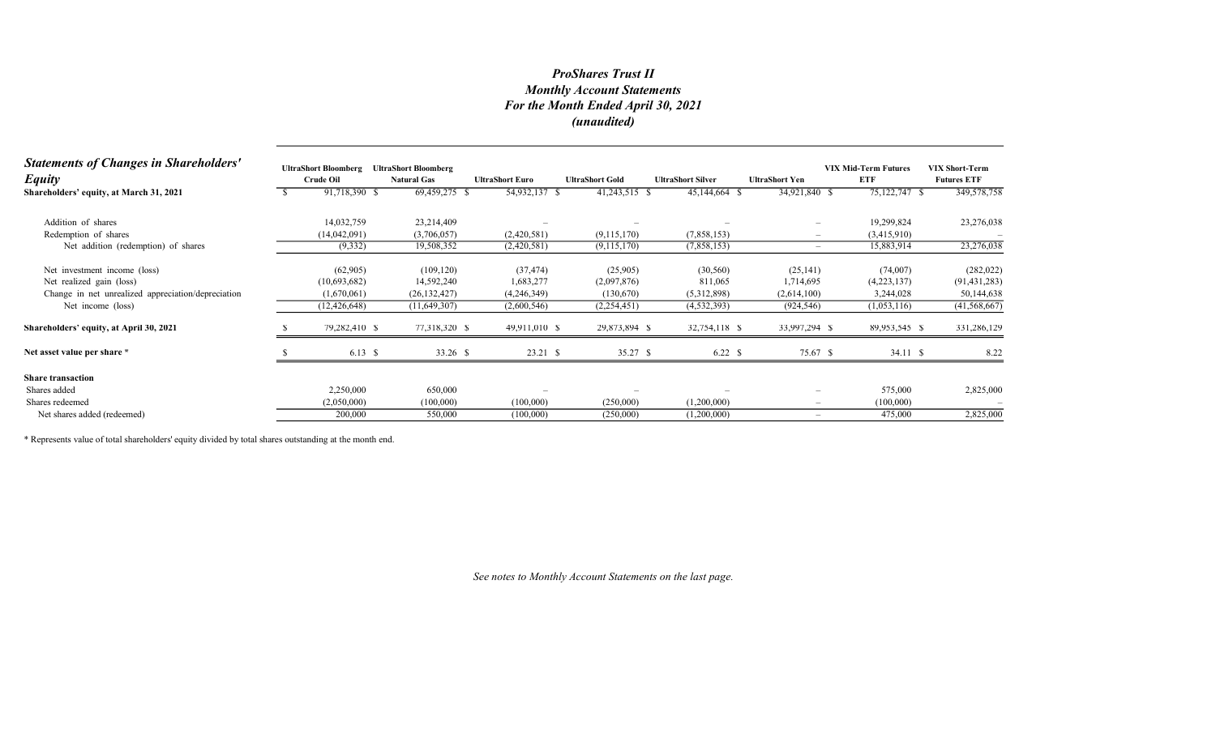# Monthly Account Statements For the Month Ended April 30, 2021 (unaudited) ProShares Trust II

| <b>Statements of Changes in Shareholders'</b><br><b>Equity</b> | <b>UltraShort Bloomberg</b><br><b>Crude Oil</b> | <b>UltraShort Bloomberg</b><br><b>Natural Gas</b> | <b>UltraShort Euro</b> |         | <b>UltraShort Gold</b> | <b>UltraShort Silver</b> | <b>UltraShort Yen</b>           | <b>VIX Mid-Term Futures</b><br>ETF | <b>VIX Short-Term</b><br><b>Futures ETF</b> |
|----------------------------------------------------------------|-------------------------------------------------|---------------------------------------------------|------------------------|---------|------------------------|--------------------------|---------------------------------|------------------------------------|---------------------------------------------|
| Shareholders' equity, at March 31, 2021                        | 91,718,390 \$                                   | 69,459,275 \$                                     | 54,932,137 \$          |         | 41,243,515 \$          | 45,144,664 \$            | 34,921,840 \$                   | 75,122,747 \$                      | 349,578,758                                 |
| Addition of shares                                             | 14,032,759                                      | 23,214,409                                        |                        |         |                        |                          | $\overline{\phantom{a}}$        | 19,299,824                         | 23,276,038                                  |
| Redemption of shares                                           | (14,042,091)                                    | (3,706,057)                                       | (2,420,581)            |         | (9,115,170)            | (7,858,153)              | $\overline{\phantom{a}}$        | (3,415,910)                        |                                             |
| Net addition (redemption) of shares                            | (9,332)                                         | 19,508,352                                        | (2,420,581)            |         | (9,115,170)            | (7,858,153)              | $\hspace{0.1mm}-\hspace{0.1mm}$ | 15,883,914                         | 23,276,038                                  |
| Net investment income (loss)                                   | (62,905)                                        | (109, 120)                                        | (37, 474)              |         | (25,905)               | (30, 560)                | (25, 141)                       | (74,007)                           | (282, 022)                                  |
| Net realized gain (loss)                                       | (10,693,682)                                    | 14,592,240                                        | 1,683,277              |         | (2,097,876)            | 811,065                  | 1,714,695                       | (4,223,137)                        | (91, 431, 283)                              |
| Change in net unrealized appreciation/depreciation             | (1,670,061)                                     | (26, 132, 427)                                    | (4,246,349)            |         | (130,670)              | (5,312,898)              | (2,614,100)                     | 3,244,028                          | 50,144,638                                  |
| Net income (loss)                                              | (12, 426, 648)                                  | (11, 649, 307)                                    | (2,600,546)            |         | (2, 254, 451)          | (4, 532, 393)            | (924, 546)                      | (1,053,116)                        | (41, 568, 667)                              |
| Shareholders' equity, at April 30, 2021                        | 79,282,410 \$                                   | 77,318,320 \$                                     | 49,911,010 \$          |         | 29,873,894 \$          | 32,754,118 \$            | 33,997,294 \$                   | 89,953,545 \$                      | 331,286,129                                 |
| Net asset value per share *                                    | 6.13 $\sqrt{ }$                                 | 33.26 \$                                          |                        | 23.21 S | 35.27 \$               | 6.22 S                   | 75.67 \$                        | 34.11 \$                           | 8.22                                        |
| <b>Share transaction</b>                                       |                                                 |                                                   |                        |         |                        |                          |                                 |                                    |                                             |
| Shares added                                                   | 2,250,000                                       | 650,000                                           |                        |         |                        |                          |                                 | 575,000                            | 2,825,000                                   |
| Shares redeemed                                                | (2,050,000)                                     | (100,000)                                         | (100,000)              |         | (250,000)              | (1,200,000)              | $\overline{\phantom{a}}$        | (100,000)                          |                                             |
| Net shares added (redeemed)                                    | 200,000                                         | 550,000                                           | (100,000)              |         | (250,000)              | (1,200,000)              | $\sim$                          | 475,000                            | 2,825,000                                   |

\* Represents value of total shareholders' equity divided by total shares outstanding at the month end.